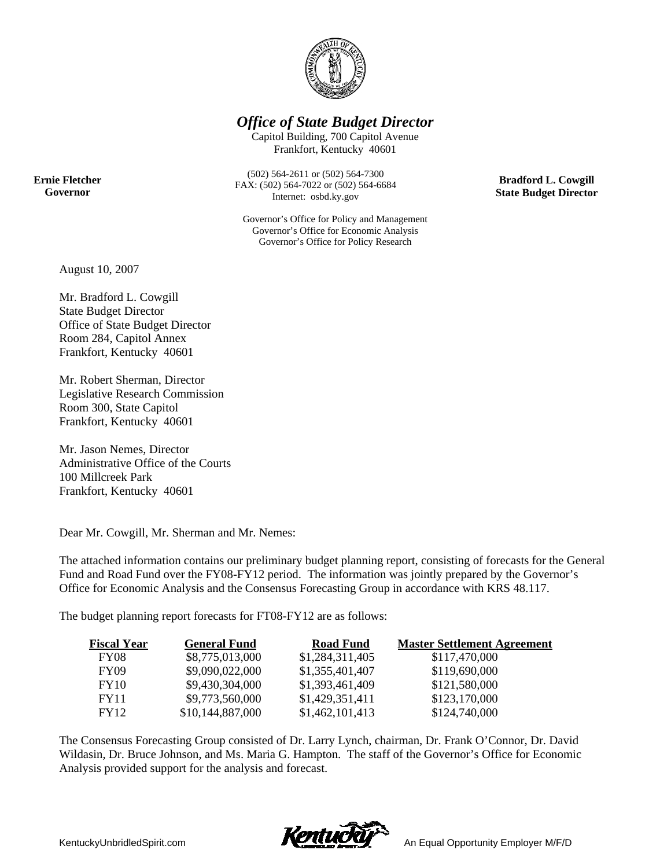

*Office of State Budget Director* 

Capitol Building, 700 Capitol Avenue Frankfort, Kentucky 40601

**Ernie Fletcher Governor** 

(502) 564-2611 or (502) 564-7300 FAX: (502) 564-7022 or (502) 564-6684 Internet: osbd.ky.gov

Governor's Office for Policy and Management Governor's Office for Economic Analysis Governor's Office for Policy Research

**Bradford L. Cowgill State Budget Director** 

August 10, 2007

Mr. Bradford L. Cowgill State Budget Director Office of State Budget Director Room 284, Capitol Annex Frankfort, Kentucky 40601

Mr. Robert Sherman, Director Legislative Research Commission Room 300, State Capitol Frankfort, Kentucky 40601

Mr. Jason Nemes, Director Administrative Office of the Courts 100 Millcreek Park Frankfort, Kentucky 40601

Dear Mr. Cowgill, Mr. Sherman and Mr. Nemes:

The attached information contains our preliminary budget planning report, consisting of forecasts for the General Fund and Road Fund over the FY08-FY12 period. The information was jointly prepared by the Governor's Office for Economic Analysis and the Consensus Forecasting Group in accordance with KRS 48.117.

The budget planning report forecasts for FT08-FY12 are as follows:

| <b>Fiscal Year</b> | <b>General Fund</b> | <b>Road Fund</b> | <b>Master Settlement Agreement</b> |
|--------------------|---------------------|------------------|------------------------------------|
| <b>FY08</b>        | \$8,775,013,000     | \$1,284,311,405  | \$117,470,000                      |
| <b>FY09</b>        | \$9,090,022,000     | \$1,355,401,407  | \$119,690,000                      |
| <b>FY10</b>        | \$9,430,304,000     | \$1,393,461,409  | \$121,580,000                      |
| <b>FY11</b>        | \$9,773,560,000     | \$1,429,351,411  | \$123,170,000                      |
| <b>FY12</b>        | \$10,144,887,000    | \$1,462,101,413  | \$124,740,000                      |

The Consensus Forecasting Group consisted of Dr. Larry Lynch, chairman, Dr. Frank O'Connor, Dr. David Wildasin, Dr. Bruce Johnson, and Ms. Maria G. Hampton. The staff of the Governor's Office for Economic Analysis provided support for the analysis and forecast.

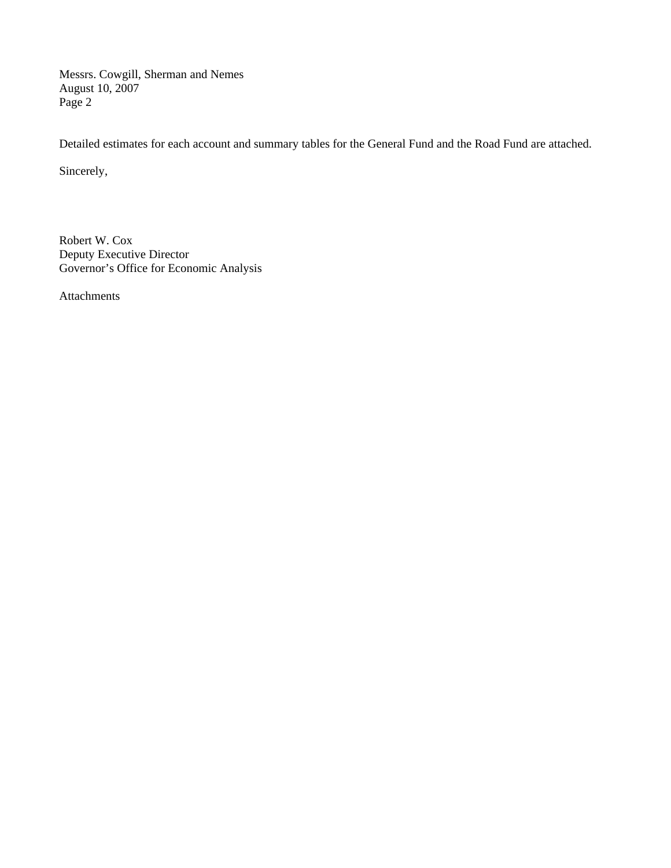Messrs. Cowgill, Sherman and Nemes August 10, 2007 Page 2

Detailed estimates for each account and summary tables for the General Fund and the Road Fund are attached.

Sincerely,

Robert W. Cox Deputy Executive Director Governor's Office for Economic Analysis

Attachments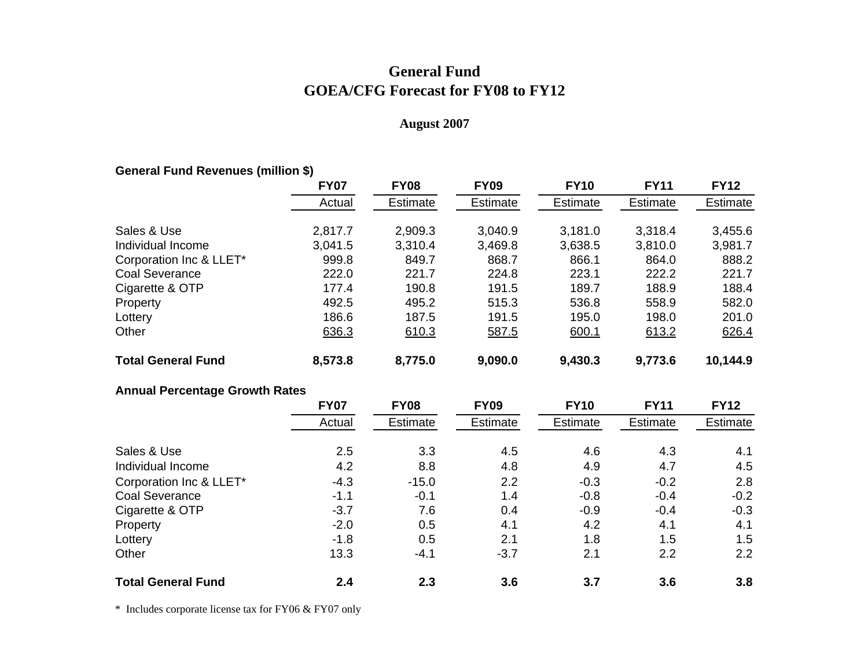# **General FundGOEA/CFG Forecast for FY08 to FY12**

# **August 2007**

# **General Fund Revenues (million \$)**

|                           | <b>FY07</b> | <b>FY08</b>     | <b>FY09</b>     | <b>FY10</b>     | <b>FY11</b> | <b>FY12</b> |
|---------------------------|-------------|-----------------|-----------------|-----------------|-------------|-------------|
|                           | Actual      | <b>Estimate</b> | <b>Estimate</b> | <b>Estimate</b> | Estimate    | Estimate    |
| Sales & Use               | 2,817.7     | 2,909.3         | 3,040.9         | 3,181.0         | 3,318.4     | 3,455.6     |
| Individual Income         | 3,041.5     | 3,310.4         | 3,469.8         | 3,638.5         | 3,810.0     | 3,981.7     |
| Corporation Inc & LLET*   | 999.8       | 849.7           | 868.7           | 866.1           | 864.0       | 888.2       |
| Coal Severance            | 222.0       | 221.7           | 224.8           | 223.1           | 222.2       | 221.7       |
| Cigarette & OTP           | 177.4       | 190.8           | 191.5           | 189.7           | 188.9       | 188.4       |
| Property                  | 492.5       | 495.2           | 515.3           | 536.8           | 558.9       | 582.0       |
| Lottery                   | 186.6       | 187.5           | 191.5           | 195.0           | 198.0       | 201.0       |
| Other                     | 636.3       | 610.3           | 587.5           | 600.1           | 613.2       | 626.4       |
| <b>Total General Fund</b> | 8,573.8     | 8,775.0         | 9,090.0         | 9,430.3         | 9,773.6     | 10,144.9    |

# **Annual Percentage Growth Rates**

|                           | FY07   | FY08     | <b>FY09</b> | <b>FY10</b>     | <b>FY11</b> | <b>FY12</b> |
|---------------------------|--------|----------|-------------|-----------------|-------------|-------------|
|                           | Actual | Estimate | Estimate    | <b>Estimate</b> | Estimate    | Estimate    |
| Sales & Use               | 2.5    | 3.3      | 4.5         | 4.6             | 4.3         | 4.1         |
| Individual Income         | 4.2    | 8.8      | 4.8         | 4.9             | 4.7         | 4.5         |
| Corporation Inc & LLET*   | $-4.3$ | $-15.0$  | 2.2         | $-0.3$          | $-0.2$      | 2.8         |
| <b>Coal Severance</b>     | $-1.1$ | $-0.1$   | 1.4         | $-0.8$          | $-0.4$      | $-0.2$      |
| Cigarette & OTP           | $-3.7$ | 7.6      | 0.4         | $-0.9$          | $-0.4$      | $-0.3$      |
| Property                  | $-2.0$ | 0.5      | 4.1         | 4.2             | 4.1         | 4.1         |
| Lottery                   | $-1.8$ | 0.5      | 2.1         | 1.8             | 1.5         | 1.5         |
| Other                     | 13.3   | $-4.1$   | $-3.7$      | 2.1             | 2.2         | 2.2         |
| <b>Total General Fund</b> | 2.4    | 2.3      | 3.6         | 3.7             | 3.6         | 3.8         |

\* Includes corporate license tax for FY06 & FY07 only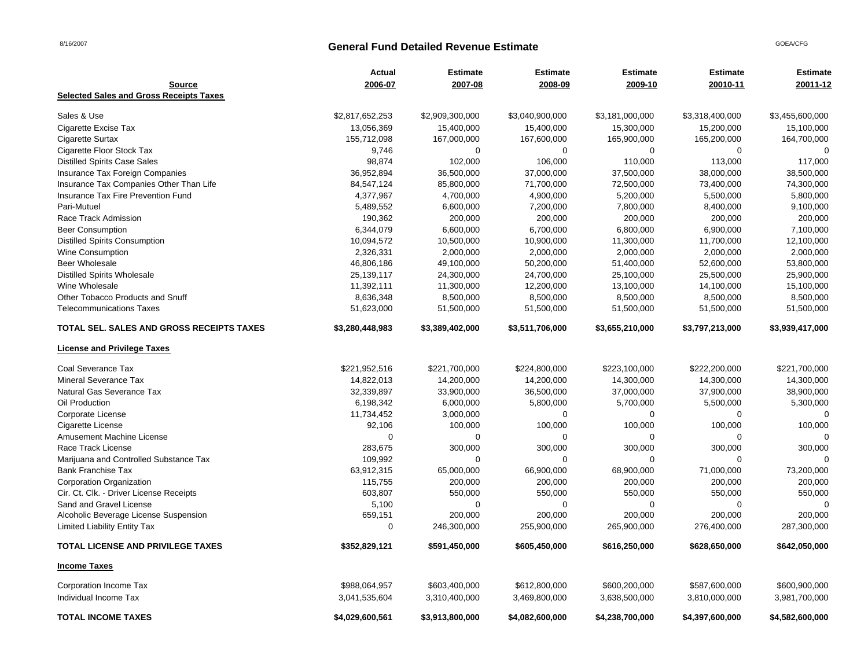# **General Fund Detailed Revenue Estimate**

 $e$  GOEA/CFG

|                                                                 | Actual          | <b>Estimate</b> | <b>Estimate</b> | <b>Estimate</b> | <b>Estimate</b> | <b>Estimate</b> |
|-----------------------------------------------------------------|-----------------|-----------------|-----------------|-----------------|-----------------|-----------------|
| <b>Source</b><br><b>Selected Sales and Gross Receipts Taxes</b> | 2006-07         | 2007-08         | 2008-09         | 2009-10         | 20010-11        | 20011-12        |
|                                                                 |                 |                 |                 |                 |                 |                 |
| Sales & Use                                                     | \$2,817,652,253 | \$2,909,300,000 | \$3,040,900,000 | \$3,181,000,000 | \$3,318,400,000 | \$3,455,600,000 |
| Cigarette Excise Tax                                            | 13,056,369      | 15,400,000      | 15,400,000      | 15,300,000      | 15,200,000      | 15,100,000      |
| <b>Cigarette Surtax</b>                                         | 155,712,098     | 167,000,000     | 167,600,000     | 165,900,000     | 165,200,000     | 164,700,000     |
| Cigarette Floor Stock Tax                                       | 9,746           | $\mathbf 0$     | $\Omega$        | $\Omega$        | $\Omega$        |                 |
| <b>Distilled Spirits Case Sales</b>                             | 98,874          | 102,000         | 106,000         | 110,000         | 113,000         | 117,000         |
| Insurance Tax Foreign Companies                                 | 36,952,894      | 36,500,000      | 37,000,000      | 37,500,000      | 38,000,000      | 38,500,000      |
| Insurance Tax Companies Other Than Life                         | 84,547,124      | 85,800,000      | 71,700,000      | 72,500,000      | 73,400,000      | 74,300,000      |
| Insurance Tax Fire Prevention Fund                              | 4,377,967       | 4,700,000       | 4,900,000       | 5,200,000       | 5,500,000       | 5,800,000       |
| Pari-Mutuel                                                     | 5,489,552       | 6,600,000       | 7,200,000       | 7,800,000       | 8,400,000       | 9,100,000       |
| Race Track Admission                                            | 190,362         | 200,000         | 200,000         | 200,000         | 200,000         | 200,000         |
| <b>Beer Consumption</b>                                         | 6,344,079       | 6,600,000       | 6,700,000       | 6,800,000       | 6,900,000       | 7,100,000       |
| <b>Distilled Spirits Consumption</b>                            | 10,094,572      | 10,500,000      | 10,900,000      | 11,300,000      | 11,700,000      | 12,100,000      |
| <b>Wine Consumption</b>                                         | 2,326,331       | 2,000,000       | 2,000,000       | 2,000,000       | 2,000,000       | 2,000,000       |
| <b>Beer Wholesale</b>                                           | 46,806,186      | 49,100,000      | 50,200,000      | 51,400,000      | 52,600,000      | 53,800,000      |
| <b>Distilled Spirits Wholesale</b>                              | 25,139,117      | 24,300,000      | 24,700,000      | 25,100,000      | 25,500,000      | 25,900,000      |
| Wine Wholesale                                                  | 11,392,111      | 11,300,000      | 12,200,000      | 13,100,000      | 14,100,000      | 15,100,000      |
| Other Tobacco Products and Snuff                                | 8,636,348       | 8,500,000       | 8,500,000       | 8,500,000       | 8,500,000       | 8,500,000       |
| <b>Telecommunications Taxes</b>                                 | 51,623,000      | 51,500,000      | 51,500,000      | 51,500,000      | 51,500,000      | 51,500,000      |
| TOTAL SEL. SALES AND GROSS RECEIPTS TAXES                       | \$3,280,448,983 | \$3,389,402,000 | \$3,511,706,000 | \$3,655,210,000 | \$3,797,213,000 | \$3,939,417,000 |
| <b>License and Privilege Taxes</b>                              |                 |                 |                 |                 |                 |                 |
| Coal Severance Tax                                              | \$221,952,516   | \$221,700,000   | \$224,800,000   | \$223,100,000   | \$222,200,000   | \$221,700,000   |
| <b>Mineral Severance Tax</b>                                    | 14,822,013      | 14,200,000      | 14,200,000      | 14,300,000      | 14,300,000      | 14,300,000      |
| Natural Gas Severance Tax                                       | 32,339,897      | 33,900,000      | 36,500,000      | 37,000,000      | 37,900,000      | 38,900,000      |
| Oil Production                                                  | 6,198,342       | 6,000,000       | 5,800,000       | 5,700,000       | 5,500,000       | 5,300,000       |
| Corporate License                                               | 11,734,452      | 3,000,000       | $\mathbf 0$     | 0               | $\mathbf 0$     | $\Omega$        |
| Cigarette License                                               | 92,106          | 100,000         | 100,000         | 100,000         | 100,000         | 100,000         |
| Amusement Machine License                                       | $\mathbf 0$     | $\mathbf 0$     | $\mathbf 0$     | $\mathbf 0$     | $\Omega$        | $\Omega$        |
| Race Track License                                              | 283,675         | 300,000         | 300,000         | 300,000         | 300,000         | 300,000         |
| Marijuana and Controlled Substance Tax                          | 109,992         | $\mathbf 0$     | $\mathbf 0$     | $\mathbf 0$     | $\mathbf 0$     |                 |
| <b>Bank Franchise Tax</b>                                       | 63,912,315      | 65,000,000      | 66,900,000      | 68,900,000      | 71,000,000      | 73,200,000      |
| Corporation Organization                                        | 115,755         | 200,000         | 200,000         | 200,000         | 200,000         | 200,000         |
| Cir. Ct. Clk. - Driver License Receipts                         | 603,807         | 550,000         | 550,000         | 550,000         | 550,000         | 550,000         |
| Sand and Gravel License                                         | 5,100           | $\mathbf 0$     | $\mathbf 0$     | $\mathbf 0$     | $\mathbf 0$     | $\Omega$        |
| Alcoholic Beverage License Suspension                           | 659,151         | 200,000         | 200,000         | 200,000         | 200,000         | 200,000         |
| <b>Limited Liability Entity Tax</b>                             | $\mathbf 0$     | 246,300,000     | 255,900,000     | 265,900,000     | 276,400,000     | 287,300,000     |
| <b>TOTAL LICENSE AND PRIVILEGE TAXES</b>                        | \$352,829,121   | \$591,450,000   | \$605,450,000   | \$616,250,000   | \$628,650,000   | \$642,050,000   |
| <b>Income Taxes</b>                                             |                 |                 |                 |                 |                 |                 |
| Corporation Income Tax                                          | \$988,064,957   | \$603,400,000   | \$612,800,000   | \$600,200,000   | \$587,600,000   | \$600,900,000   |
| Individual Income Tax                                           | 3,041,535,604   | 3,310,400,000   | 3,469,800,000   | 3,638,500,000   | 3,810,000,000   | 3,981,700,000   |
| <b>TOTAL INCOME TAXES</b>                                       | \$4,029,600,561 | \$3,913,800,000 | \$4,082,600,000 | \$4,238,700,000 | \$4,397,600,000 | \$4,582,600,000 |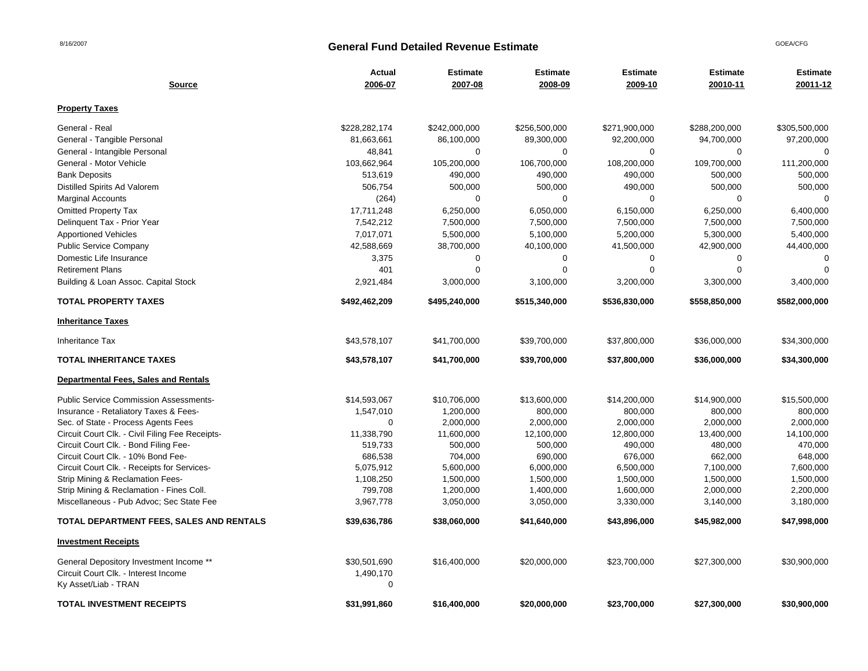# **General Fund Detailed Revenue Estimate**

 $e$  GOEA/CFG

| <b>Source</b>                                   | Actual<br>2006-07 | <b>Estimate</b><br>2007-08 | <b>Estimate</b><br>2008-09 | <b>Estimate</b><br>2009-10 | <b>Estimate</b><br>20010-11 | <b>Estimate</b><br>20011-12 |
|-------------------------------------------------|-------------------|----------------------------|----------------------------|----------------------------|-----------------------------|-----------------------------|
| <b>Property Taxes</b>                           |                   |                            |                            |                            |                             |                             |
| General - Real                                  | \$228,282,174     | \$242,000,000              | \$256,500,000              | \$271,900,000              | \$288,200,000               | \$305,500,000               |
| General - Tangible Personal                     | 81,663,661        | 86,100,000                 | 89,300,000                 | 92,200,000                 | 94,700,000                  | 97,200,000                  |
| General - Intangible Personal                   | 48,841            | $\mathbf 0$                | 0                          | $\mathbf 0$                | $\mathbf 0$                 | 0                           |
| General - Motor Vehicle                         | 103,662,964       | 105,200,000                | 106,700,000                | 108,200,000                | 109,700,000                 | 111,200,000                 |
| <b>Bank Deposits</b>                            | 513,619           | 490,000                    | 490,000                    | 490,000                    | 500,000                     | 500,000                     |
| Distilled Spirits Ad Valorem                    | 506,754           | 500,000                    | 500,000                    | 490,000                    | 500,000                     | 500,000                     |
| <b>Marginal Accounts</b>                        | (264)             | $\mathbf 0$                | 0                          | $\mathbf 0$                | $\mathbf 0$                 | 0                           |
| <b>Omitted Property Tax</b>                     | 17,711,248        | 6,250,000                  | 6,050,000                  | 6,150,000                  | 6,250,000                   | 6,400,000                   |
| Delinquent Tax - Prior Year                     | 7,542,212         | 7,500,000                  | 7,500,000                  | 7,500,000                  | 7,500,000                   | 7,500,000                   |
| <b>Apportioned Vehicles</b>                     | 7,017,071         | 5,500,000                  | 5,100,000                  | 5,200,000                  | 5,300,000                   | 5,400,000                   |
| <b>Public Service Company</b>                   | 42,588,669        | 38,700,000                 | 40,100,000                 | 41,500,000                 | 42,900,000                  | 44,400,000                  |
| Domestic Life Insurance                         | 3,375             | $\mathbf 0$                | 0                          | $\mathbf 0$                | $\mathbf 0$                 | 0                           |
| <b>Retirement Plans</b>                         | 401               | $\Omega$                   | 0                          | $\Omega$                   | $\Omega$                    | $\Omega$                    |
| Building & Loan Assoc. Capital Stock            | 2,921,484         | 3,000,000                  | 3,100,000                  | 3,200,000                  | 3,300,000                   | 3,400,000                   |
| <b>TOTAL PROPERTY TAXES</b>                     | \$492,462,209     | \$495,240,000              | \$515,340,000              | \$536,830,000              | \$558,850,000               | \$582,000,000               |
| <b>Inheritance Taxes</b>                        |                   |                            |                            |                            |                             |                             |
| Inheritance Tax                                 | \$43,578,107      | \$41,700,000               | \$39,700,000               | \$37,800,000               | \$36,000,000                | \$34,300,000                |
| <b>TOTAL INHERITANCE TAXES</b>                  | \$43,578,107      | \$41,700,000               | \$39,700,000               | \$37,800,000               | \$36,000,000                | \$34,300,000                |
| Departmental Fees, Sales and Rentals            |                   |                            |                            |                            |                             |                             |
| <b>Public Service Commission Assessments-</b>   | \$14,593,067      | \$10,706,000               | \$13,600,000               | \$14,200,000               | \$14,900,000                | \$15,500,000                |
| Insurance - Retaliatory Taxes & Fees-           | 1,547,010         | 1,200,000                  | 800,000                    | 800,000                    | 800,000                     | 800,000                     |
| Sec. of State - Process Agents Fees             | $\Omega$          | 2,000,000                  | 2,000,000                  | 2,000,000                  | 2,000,000                   | 2,000,000                   |
| Circuit Court Clk. - Civil Filing Fee Receipts- | 11,338,790        | 11,600,000                 | 12,100,000                 | 12,800,000                 | 13,400,000                  | 14,100,000                  |
| Circuit Court Clk. - Bond Filing Fee-           | 519,733           | 500,000                    | 500,000                    | 490,000                    | 480,000                     | 470,000                     |
| Circuit Court Clk. - 10% Bond Fee-              | 686,538           | 704,000                    | 690,000                    | 676,000                    | 662,000                     | 648,000                     |
| Circuit Court Clk. - Receipts for Services-     | 5,075,912         | 5,600,000                  | 6,000,000                  | 6,500,000                  | 7,100,000                   | 7,600,000                   |
| Strip Mining & Reclamation Fees-                | 1,108,250         | 1,500,000                  | 1,500,000                  | 1,500,000                  | 1,500,000                   | 1,500,000                   |
| Strip Mining & Reclamation - Fines Coll.        | 799,708           | 1,200,000                  | 1,400,000                  | 1,600,000                  | 2,000,000                   | 2,200,000                   |
| Miscellaneous - Pub Advoc; Sec State Fee        | 3,967,778         | 3,050,000                  | 3,050,000                  | 3,330,000                  | 3,140,000                   | 3,180,000                   |
| TOTAL DEPARTMENT FEES, SALES AND RENTALS        | \$39,636,786      | \$38,060,000               | \$41,640,000               | \$43,896,000               | \$45,982,000                | \$47,998,000                |
| <b>Investment Receipts</b>                      |                   |                            |                            |                            |                             |                             |
| General Depository Investment Income **         | \$30,501,690      | \$16,400,000               | \$20,000,000               | \$23,700,000               | \$27,300,000                | \$30,900,000                |
| Circuit Court Clk. - Interest Income            | 1,490,170         |                            |                            |                            |                             |                             |
| Ky Asset/Liab - TRAN                            | $\Omega$          |                            |                            |                            |                             |                             |
| <b>TOTAL INVESTMENT RECEIPTS</b>                | \$31,991,860      | \$16,400,000               | \$20,000,000               | \$23,700,000               | \$27,300,000                | \$30,900,000                |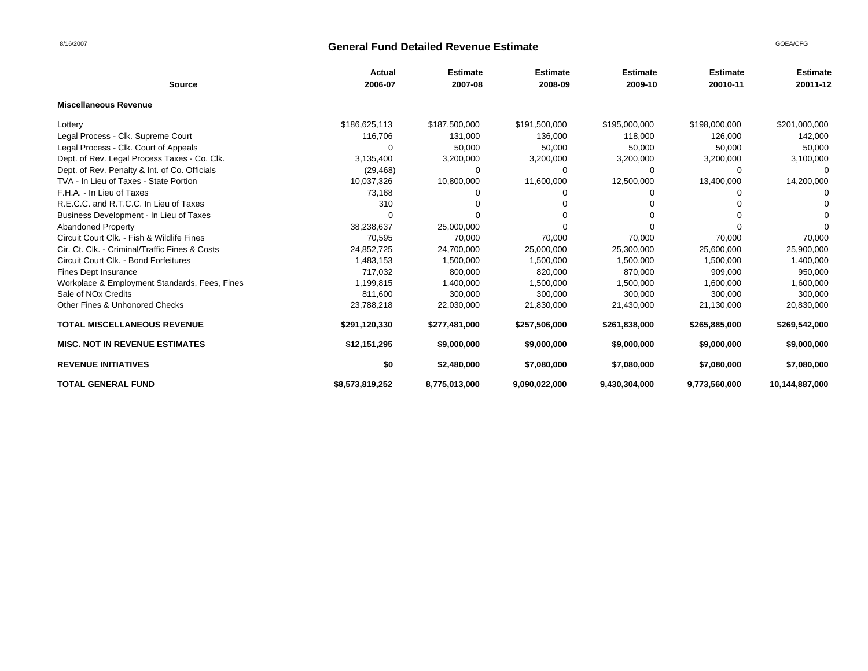## **General Fund Detailed Revenue Estimate**

 $e$  GOEA/CFG

| <b>Source</b>                                  | Actual<br>2006-07 | <b>Estimate</b><br>2007-08 | <b>Estimate</b><br>2008-09 | <b>Estimate</b><br>2009-10 | <b>Estimate</b><br>20010-11 | <b>Estimate</b><br>20011-12 |
|------------------------------------------------|-------------------|----------------------------|----------------------------|----------------------------|-----------------------------|-----------------------------|
| <b>Miscellaneous Revenue</b>                   |                   |                            |                            |                            |                             |                             |
| Lottery                                        | \$186,625,113     | \$187,500,000              | \$191,500,000              | \$195,000,000              | \$198,000,000               | \$201,000,000               |
| Legal Process - Clk. Supreme Court             | 116,706           | 131,000                    | 136,000                    | 118,000                    | 126,000                     | 142,000                     |
| Legal Process - Clk. Court of Appeals          | $\Omega$          | 50,000                     | 50,000                     | 50,000                     | 50,000                      | 50,000                      |
| Dept. of Rev. Legal Process Taxes - Co. Clk.   | 3,135,400         | 3,200,000                  | 3,200,000                  | 3,200,000                  | 3,200,000                   | 3,100,000                   |
| Dept. of Rev. Penalty & Int. of Co. Officials  | (29, 468)         | $\Omega$                   |                            | 0                          | 0                           | 0                           |
| TVA - In Lieu of Taxes - State Portion         | 10,037,326        | 10,800,000                 | 11,600,000                 | 12,500,000                 | 13,400,000                  | 14,200,000                  |
| F.H.A. - In Lieu of Taxes                      | 73,168            |                            |                            |                            |                             |                             |
| R.E.C.C. and R.T.C.C. In Lieu of Taxes         | 310               |                            |                            |                            |                             |                             |
| Business Development - In Lieu of Taxes        | $\Omega$          |                            |                            |                            |                             |                             |
| <b>Abandoned Property</b>                      | 38,238,637        | 25,000,000                 |                            |                            |                             |                             |
| Circuit Court Clk. - Fish & Wildlife Fines     | 70,595            | 70,000                     | 70,000                     | 70,000                     | 70,000                      | 70,000                      |
| Cir. Ct. Clk. - Criminal/Traffic Fines & Costs | 24,852,725        | 24,700,000                 | 25,000,000                 | 25,300,000                 | 25,600,000                  | 25,900,000                  |
| Circuit Court Clk. - Bond Forfeitures          | 1,483,153         | 1,500,000                  | 1,500,000                  | 1,500,000                  | 1,500,000                   | 1,400,000                   |
| <b>Fines Dept Insurance</b>                    | 717,032           | 800,000                    | 820,000                    | 870,000                    | 909,000                     | 950,000                     |
| Workplace & Employment Standards, Fees, Fines  | 1,199,815         | 1,400,000                  | 1,500,000                  | 1,500,000                  | 1,600,000                   | 1,600,000                   |
| Sale of NO <sub>x</sub> Credits                | 811,600           | 300,000                    | 300,000                    | 300,000                    | 300,000                     | 300,000                     |
| Other Fines & Unhonored Checks                 | 23,788,218        | 22,030,000                 | 21,830,000                 | 21,430,000                 | 21,130,000                  | 20,830,000                  |
| <b>TOTAL MISCELLANEOUS REVENUE</b>             | \$291,120,330     | \$277,481,000              | \$257,506,000              | \$261,838,000              | \$265,885,000               | \$269,542,000               |
| <b>MISC. NOT IN REVENUE ESTIMATES</b>          | \$12,151,295      | \$9,000,000                | \$9,000,000                | \$9,000,000                | \$9,000,000                 | \$9,000,000                 |
| <b>REVENUE INITIATIVES</b>                     | \$0               | \$2,480,000                | \$7,080,000                | \$7,080,000                | \$7,080,000                 | \$7,080,000                 |
| <b>TOTAL GENERAL FUND</b>                      | \$8,573,819,252   | 8,775,013,000              | 9,090,022,000              | 9,430,304,000              | 9,773,560,000               | 10,144,887,000              |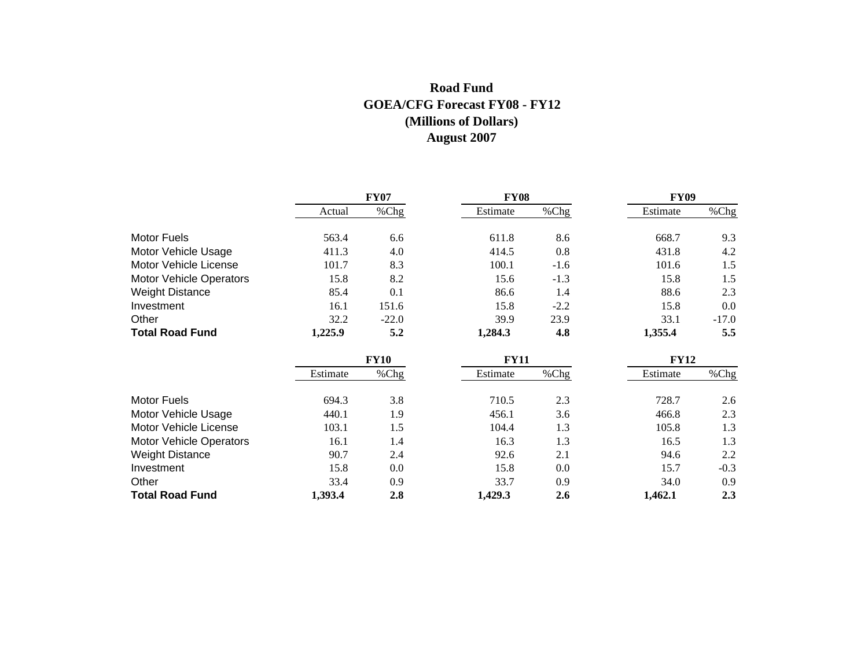# **Road Fund GOEA/CFG Forecast FY08 - FY12 (Millions of Dollars) August 2007**

|                                |          | <b>FY07</b> | <b>FY08</b> |        | <b>FY09</b> |         |
|--------------------------------|----------|-------------|-------------|--------|-------------|---------|
|                                | Actual   | %Chg        | Estimate    | %Chg   | Estimate    | %Chg    |
| <b>Motor Fuels</b>             | 563.4    | 6.6         | 611.8       | 8.6    | 668.7       | 9.3     |
| Motor Vehicle Usage            | 411.3    | 4.0         | 414.5       | 0.8    | 431.8       | 4.2     |
| Motor Vehicle License          | 101.7    | 8.3         | 100.1       | $-1.6$ | 101.6       | 1.5     |
| <b>Motor Vehicle Operators</b> | 15.8     | 8.2         | 15.6        | $-1.3$ | 15.8        | 1.5     |
| <b>Weight Distance</b>         | 85.4     | 0.1         | 86.6        | 1.4    | 88.6        | 2.3     |
| Investment                     | 16.1     | 151.6       | 15.8        | $-2.2$ | 15.8        | 0.0     |
| Other                          | 32.2     | $-22.0$     | 39.9        | 23.9   | 33.1        | $-17.0$ |
| <b>Total Road Fund</b>         | 1,225.9  | 5.2         | 1,284.3     | 4.8    | 1,355.4     | 5.5     |
|                                |          | <b>FY10</b> | <b>FY11</b> |        | <b>FY12</b> |         |
|                                | Estimate | $%$ Chg     | Estimate    | %Chg   | Estimate    | %Chg    |
| <b>Motor Fuels</b>             | 694.3    | 3.8         | 710.5       | 2.3    | 728.7       | 2.6     |
| Motor Vehicle Usage            | 440.1    | 1.9         | 456.1       | 3.6    | 466.8       | 2.3     |
| Motor Vehicle License          | 103.1    | 1.5         | 104.4       | 1.3    | 105.8       | 1.3     |
| Motor Vehicle Operators        | 16.1     | 1.4         | 16.3        | 1.3    | 16.5        | 1.3     |
| <b>Weight Distance</b>         | 90.7     | 2.4         | 92.6        | 2.1    | 94.6        | 2.2     |
| Investment                     | 15.8     | 0.0         | 15.8        | 0.0    | 15.7        | $-0.3$  |
| Other                          | 33.4     | 0.9         | 33.7        | 0.9    | 34.0        | 0.9     |
| <b>Total Road Fund</b>         | 1,393.4  | 2.8         | 1,429.3     | 2.6    | 1,462.1     | 2.3     |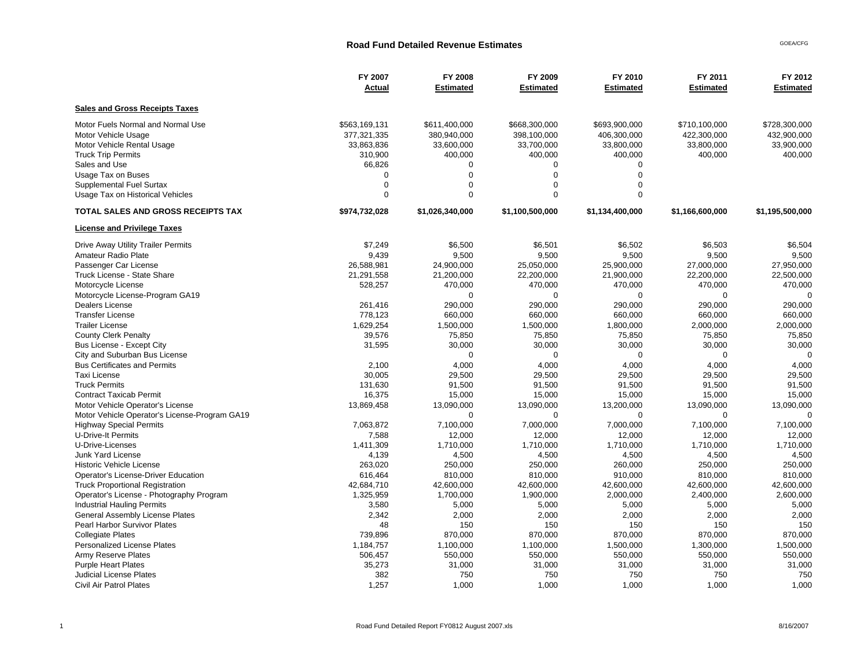### **Road Fund Detailed Revenue Estimates**

S GOEA/CFG

|                                               | FY 2007       | FY 2008          | FY 2009          | FY 2010          | FY 2011          | FY 2012          |
|-----------------------------------------------|---------------|------------------|------------------|------------------|------------------|------------------|
|                                               | Actual        | <b>Estimated</b> | <b>Estimated</b> | <b>Estimated</b> | <b>Estimated</b> | <b>Estimated</b> |
| <b>Sales and Gross Receipts Taxes</b>         |               |                  |                  |                  |                  |                  |
| Motor Fuels Normal and Normal Use             | \$563.169.131 | \$611.400.000    | \$668,300,000    | \$693.900.000    | \$710,100,000    | \$728.300.000    |
| Motor Vehicle Usage                           | 377,321,335   | 380,940,000      | 398,100,000      | 406,300,000      | 422,300,000      | 432,900,000      |
| Motor Vehicle Rental Usage                    | 33,863,836    | 33,600,000       | 33,700,000       | 33,800,000       | 33,800,000       | 33,900,000       |
| <b>Truck Trip Permits</b>                     | 310,900       | 400,000          | 400,000          | 400,000          | 400,000          | 400,000          |
| Sales and Use                                 | 66,826        | $\mathbf 0$      | $\Omega$         | $\Omega$         |                  |                  |
| <b>Usage Tax on Buses</b>                     | $\mathbf 0$   | $\overline{0}$   | $\mathbf 0$      | $\mathbf 0$      |                  |                  |
| <b>Supplemental Fuel Surtax</b>               | $\mathbf 0$   | $\mathbf 0$      | $\mathbf 0$      | $\mathbf 0$      |                  |                  |
| Usage Tax on Historical Vehicles              | $\Omega$      | $\Omega$         | $\Omega$         | $\Omega$         |                  |                  |
| <b>TOTAL SALES AND GROSS RECEIPTS TAX</b>     | \$974,732,028 | \$1,026,340,000  | \$1,100,500,000  | \$1,134,400,000  | \$1,166,600,000  | \$1,195,500,000  |
| <b>License and Privilege Taxes</b>            |               |                  |                  |                  |                  |                  |
| Drive Away Utility Trailer Permits            | \$7,249       | \$6,500          | \$6,501          | \$6,502          | \$6,503          | \$6,504          |
| Amateur Radio Plate                           | 9,439         | 9,500            | 9,500            | 9,500            | 9,500            | 9,500            |
| Passenger Car License                         | 26,588,981    | 24,900,000       | 25,050,000       | 25,900,000       | 27,000,000       | 27,950,000       |
| Truck License - State Share                   | 21,291,558    | 21,200,000       | 22,200,000       | 21,900,000       | 22,200,000       | 22,500,000       |
| Motorcycle License                            | 528,257       | 470,000          | 470,000          | 470,000          | 470,000          | 470,000          |
| Motorcycle License-Program GA19               |               | $\mathbf 0$      | $\Omega$         | $\mathbf 0$      | $\Omega$         | $\Omega$         |
| Dealers License                               | 261,416       | 290,000          | 290,000          | 290,000          | 290,000          | 290,000          |
| <b>Transfer License</b>                       | 778,123       | 660,000          | 660,000          | 660,000          | 660,000          | 660,000          |
| <b>Trailer License</b>                        | 1,629,254     | 1,500,000        | 1,500,000        | 1,800,000        | 2,000,000        | 2,000,000        |
| <b>County Clerk Penalty</b>                   | 39,576        | 75,850           | 75,850           | 75,850           | 75,850           | 75,850           |
| Bus License - Except City                     | 31,595        | 30,000           | 30,000           | 30,000           | 30,000           | 30,000           |
| City and Suburban Bus License                 |               | $\mathbf 0$      | $\Omega$         | $\mathbf 0$      | $\Omega$         | $\Omega$         |
| <b>Bus Certificates and Permits</b>           | 2.100         | 4,000            | 4.000            | 4,000            | 4,000            | 4,000            |
| Taxi License                                  | 30,005        | 29,500           | 29,500           | 29,500           | 29,500           | 29,500           |
| <b>Truck Permits</b>                          | 131,630       | 91,500           | 91,500           | 91,500           | 91,500           | 91,500           |
| <b>Contract Taxicab Permit</b>                | 16,375        | 15,000           | 15,000           | 15,000           | 15,000           | 15,000           |
| Motor Vehicle Operator's License              | 13,869,458    | 13,090,000       | 13,090,000       | 13,200,000       | 13,090,000       | 13,090,000       |
| Motor Vehicle Operator's License-Program GA19 |               | $\Omega$         | $\Omega$         | $\Omega$         | $\Omega$         | $\Omega$         |
| <b>Highway Special Permits</b>                | 7.063.872     | 7,100,000        | 7.000.000        | 7,000,000        | 7.100.000        | 7.100.000        |
| <b>U-Drive-It Permits</b>                     | 7,588         | 12,000           | 12,000           | 12,000           | 12,000           | 12,000           |
| U-Drive-Licenses                              | 1,411,309     | 1,710,000        | 1,710,000        | 1,710,000        | 1,710,000        | 1,710,000        |
| <b>Junk Yard License</b>                      | 4,139         | 4,500            | 4,500            | 4,500            | 4,500            | 4,500            |
| <b>Historic Vehicle License</b>               | 263.020       | 250,000          | 250,000          | 260,000          | 250.000          | 250,000          |
| <b>Operator's License-Driver Education</b>    | 616,464       | 810,000          | 810,000          | 910,000          | 810,000          | 810,000          |
| <b>Truck Proportional Registration</b>        | 42,684,710    | 42,600,000       | 42,600,000       | 42,600,000       | 42,600,000       | 42,600,000       |
| Operator's License - Photography Program      | 1,325,959     | 1,700,000        | 1,900,000        | 2,000,000        | 2,400,000        | 2,600,000        |
| <b>Industrial Hauling Permits</b>             | 3,580         | 5,000            | 5,000            | 5,000            | 5,000            | 5,000            |
| <b>General Assembly License Plates</b>        | 2,342         | 2,000            | 2,000            | 2,000            | 2,000            | 2,000            |
| <b>Pearl Harbor Survivor Plates</b>           | 48            | 150              | 150              | 150              | 150              | 150              |
| <b>Collegiate Plates</b>                      | 739,896       | 870,000          | 870,000          | 870,000          | 870,000          | 870,000          |
| <b>Personalized License Plates</b>            | 1,184,757     | 1,100,000        | 1,100,000        | 1,500,000        | 1,300,000        | 1,500,000        |
| Army Reserve Plates                           | 506,457       | 550,000          | 550,000          | 550,000          | 550,000          | 550,000          |
| <b>Purple Heart Plates</b>                    | 35,273        | 31,000           | 31,000           | 31,000           | 31,000           | 31,000           |
| <b>Judicial License Plates</b>                | 382           | 750<br>1.000     | 750              | 750              | 750              | 750<br>1.000     |
| <b>Civil Air Patrol Plates</b>                | 1,257         |                  | 1,000            | 1,000            | 1,000            |                  |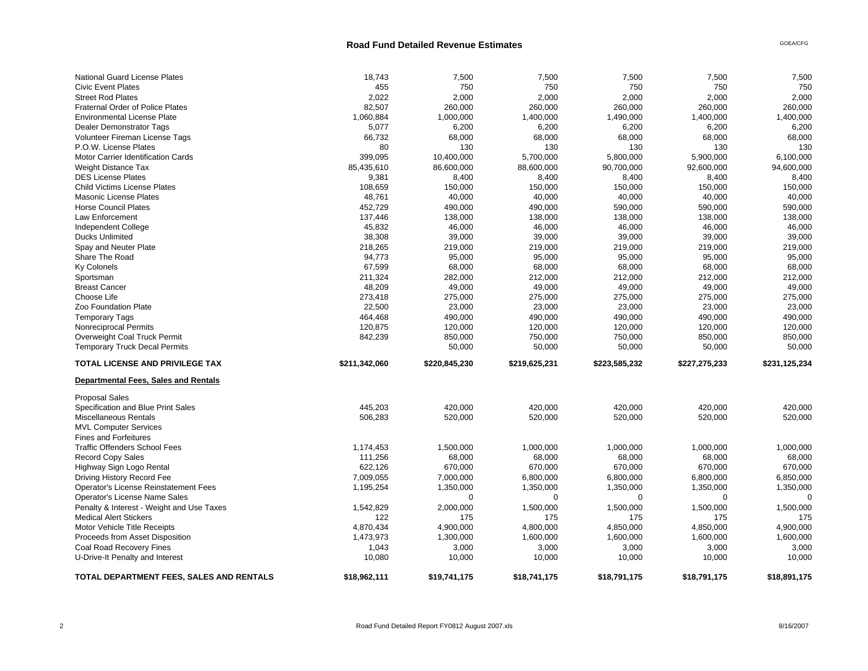### **Road Fund Detailed Revenue Estimates**

| TOTAL DEPARTMENT FEES, SALES AND RENTALS  | \$18,962,111  | \$19,741,175  | \$18,741,175  | \$18,791,175  | \$18,791,175  | \$18,891,175  |
|-------------------------------------------|---------------|---------------|---------------|---------------|---------------|---------------|
|                                           |               |               |               |               |               |               |
| U-Drive-It Penalty and Interest           | 10,080        | 10,000        | 10,000        | 10,000        | 10,000        | 10.000        |
| Coal Road Recovery Fines                  | 1,043         | 3,000         | 3,000         | 3,000         | 3,000         | 3,000         |
| Proceeds from Asset Disposition           | 1,473,973     | 1,300,000     | 1,600,000     | 1,600,000     | 1,600,000     | 1,600,000     |
| Motor Vehicle Title Receipts              | 4,870,434     | 4,900,000     | 4,800,000     | 4,850,000     | 4,850,000     | 4,900,000     |
| <b>Medical Alert Stickers</b>             | 122           | 175           | 175           | 175           | 175           | 175           |
| Penalty & Interest - Weight and Use Taxes | 1,542,829     | 2,000,000     | 1,500,000     | 1,500,000     | 1,500,000     | 1,500,000     |
| <b>Operator's License Name Sales</b>      |               | $\Omega$      | $\Omega$      | $\Omega$      | $\Omega$      |               |
| Operator's License Reinstatement Fees     | 1,195,254     | 1,350,000     | 1,350,000     | 1,350,000     | 1,350,000     | 1,350,000     |
| Driving History Record Fee                | 7,009,055     | 7,000,000     | 6,800,000     | 6,800,000     | 6,800,000     | 6,850,000     |
| Highway Sign Logo Rental                  | 622,126       | 670,000       | 670,000       | 670,000       | 670,000       | 670,000       |
| <b>Record Copy Sales</b>                  | 111,256       | 68,000        | 68,000        | 68,000        | 68,000        | 68,000        |
| <b>Traffic Offenders School Fees</b>      | 1,174,453     | 1,500,000     | 1,000,000     | 1,000,000     | 1,000,000     | 1,000,000     |
| <b>Fines and Forfeitures</b>              |               |               |               |               |               |               |
| <b>MVL Computer Services</b>              |               |               |               |               |               |               |
| Miscellaneous Rentals                     | 506,283       | 520,000       | 520,000       | 520,000       | 520,000       | 520,000       |
| Specification and Blue Print Sales        | 445,203       | 420,000       | 420,000       | 420,000       | 420,000       | 420,000       |
| <b>Proposal Sales</b>                     |               |               |               |               |               |               |
| Departmental Fees, Sales and Rentals      |               |               |               |               |               |               |
| TOTAL LICENSE AND PRIVILEGE TAX           | \$211,342,060 | \$220,845,230 | \$219,625,231 | \$223,585,232 | \$227,275,233 | \$231,125,234 |
| Temporary Truck Decal Permits             |               | 50,000        | 50,000        | 50,000        | 50,000        | 50,000        |
| Overweight Coal Truck Permit              | 842,239       | 850,000       | 750,000       | 750,000       | 850,000       | 850,000       |
| Nonreciprocal Permits                     | 120,875       | 120,000       | 120,000       | 120,000       | 120,000       | 120,000       |
| <b>Temporary Tags</b>                     | 464,468       | 490,000       | 490,000       | 490,000       | 490,000       | 490,000       |
| Zoo Foundation Plate                      | 22,500        | 23,000        | 23,000        | 23,000        | 23,000        | 23,000        |
| Choose Life                               | 273,418       | 275,000       | 275,000       | 275,000       | 275,000       | 275,000       |
| <b>Breast Cancer</b>                      | 48,209        | 49,000        | 49,000        | 49,000        | 49,000        | 49,000        |
| Sportsman                                 | 211,324       | 282,000       | 212,000       | 212,000       | 212,000       | 212,000       |
| <b>Ky Colonels</b>                        | 67,599        | 68,000        | 68,000        | 68,000        | 68,000        | 68,000        |
| Share The Road                            | 94,773        | 95,000        | 95,000        | 95,000        | 95,000        | 95,000        |
| Spay and Neuter Plate                     | 218,265       | 219,000       | 219,000       | 219,000       | 219,000       | 219,000       |
| <b>Ducks Unlimited</b>                    | 38,308        | 39,000        | 39,000        | 39,000        | 39,000        | 39,000        |
| Independent College                       | 45,832        | 46,000        | 46,000        | 46,000        | 46,000        | 46,000        |
| Law Enforcement                           | 137,446       | 138,000       | 138,000       | 138,000       | 138,000       | 138,000       |
| <b>Horse Council Plates</b>               | 452.729       | 490,000       | 490,000       | 590,000       | 590,000       | 590,000       |
| <b>Masonic License Plates</b>             | 48.761        | 40,000        | 40,000        | 40,000        | 40,000        | 40.000        |
| <b>Child Victims License Plates</b>       | 108,659       | 150,000       | 150,000       | 150,000       | 150,000       | 150,000       |
| <b>DES License Plates</b>                 | 9,381         | 8,400         | 8,400         | 8,400         | 8,400         | 8,400         |
| <b>Weight Distance Tax</b>                | 85,435,610    | 86,600,000    | 88,600,000    | 90,700,000    | 92,600,000    | 94,600,000    |
| Motor Carrier Identification Cards        | 399,095       | 10,400,000    | 5,700,000     | 5,800,000     | 5,900,000     | 6,100,000     |
| P.O.W. License Plates                     | 80            | 130           | 130           | 130           | 130           | 130           |
| <b>Volunteer Fireman License Tags</b>     | 66,732        | 68,000        | 68,000        | 68,000        | 68,000        | 68.000        |
| <b>Dealer Demonstrator Tags</b>           | 5,077         | 6,200         | 6,200         | 6,200         | 6,200         | 6.200         |
| <b>Environmental License Plate</b>        | 1,060,884     | 1,000,000     | 1,400,000     | 1,490,000     | 1,400,000     | 1,400,000     |
| Fraternal Order of Police Plates          | 82,507        | 260,000       | 260,000       | 260,000       | 260,000       | 260,000       |
| <b>Street Rod Plates</b>                  | 2,022         | 2,000         | 2,000         | 2,000         | 2,000         | 2,000         |
| <b>Civic Event Plates</b>                 | 455           | 750           | 750           | 750           | 750           | 750           |
| <b>National Guard License Plates</b>      | 18,743        | 7,500         | 7,500         | 7,500         | 7,500         | 7,500         |

Road Fund Detailed Report FY0812 August 2007.xls 8/16/2007 8 and 2011 8 and 2016/2007

2

S GOEA/CFG